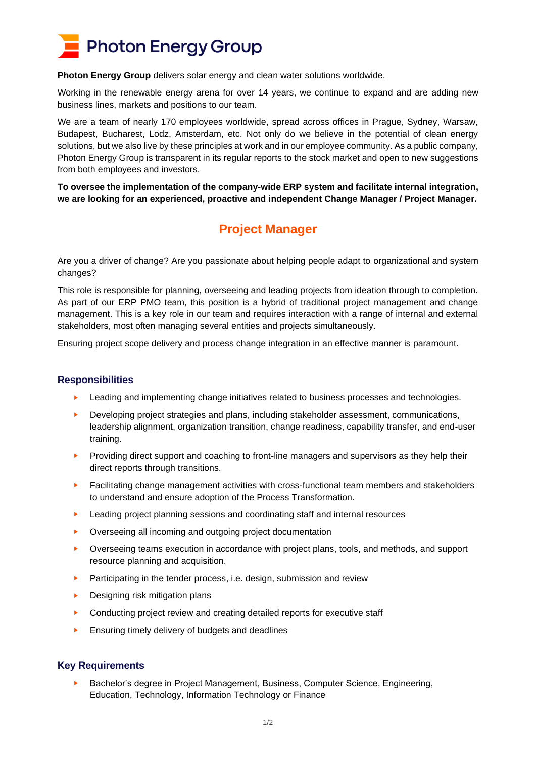

**Photon Energy Group** delivers solar energy and clean water solutions worldwide.

Working in the renewable energy arena for over 14 years, we continue to expand and are adding new business lines, markets and positions to our team.

We are a team of nearly 170 employees worldwide, spread across offices in Prague, Sydney, Warsaw, Budapest, Bucharest, Lodz, Amsterdam, etc. Not only do we believe in the potential of clean energy solutions, but we also live by these principles at work and in our employee community. As a public company, Photon Energy Group is transparent in its regular reports to the stock market and open to new suggestions from both employees and investors.

**To oversee the implementation of the company-wide ERP system and facilitate internal integration, we are looking for an experienced, proactive and independent Change Manager / Project Manager.**

# **Project Manager**

Are you a driver of change? Are you passionate about helping people adapt to organizational and system changes?

This role is responsible for planning, overseeing and leading projects from ideation through to completion. As part of our ERP PMO team, this position is a hybrid of traditional project management and change management. This is a key role in our team and requires interaction with a range of internal and external stakeholders, most often managing several entities and projects simultaneously.

Ensuring project scope delivery and process change integration in an effective manner is paramount.

## **Responsibilities**

- Leading and implementing change initiatives related to business processes and technologies.
- Developing project strategies and plans, including stakeholder assessment, communications, leadership alignment, organization transition, change readiness, capability transfer, and end-user training.
- Providing direct support and coaching to front-line managers and supervisors as they help their direct reports through transitions.
- ► Facilitating change management activities with cross-functional team members and stakeholders to understand and ensure adoption of the Process Transformation.
- Leading project planning sessions and coordinating staff and internal resources
- ► Overseeing all incoming and outgoing project documentation
- ► Overseeing teams execution in accordance with project plans, tools, and methods, and support resource planning and acquisition.
- Participating in the tender process, i.e. design, submission and review
- Designing risk mitigation plans
- ► Conducting project review and creating detailed reports for executive staff
- Ensuring timely delivery of budgets and deadlines

## **Key Requirements**

► Bachelor's degree in Project Management, Business, Computer Science, Engineering, Education, Technology, Information Technology or Finance